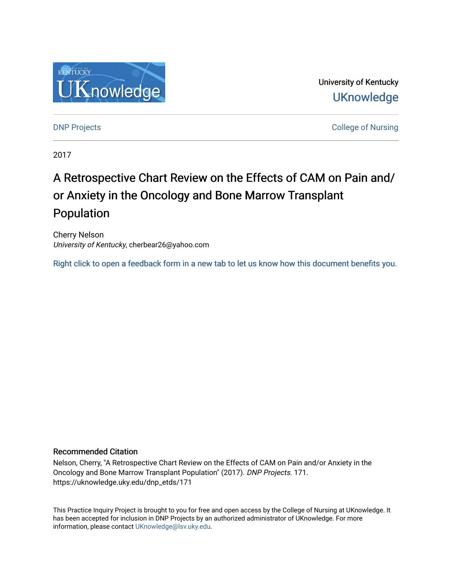

University of Kentucky **UKnowledge** 

[DNP Projects](https://uknowledge.uky.edu/dnp_etds) **College of Nursing** 

2017

# A Retrospective Chart Review on the Effects of CAM on Pain and/ or Anxiety in the Oncology and Bone Marrow Transplant Population

Cherry Nelson University of Kentucky, cherbear26@yahoo.com

[Right click to open a feedback form in a new tab to let us know how this document benefits you.](https://uky.az1.qualtrics.com/jfe/form/SV_9mq8fx2GnONRfz7)

#### Recommended Citation

Nelson, Cherry, "A Retrospective Chart Review on the Effects of CAM on Pain and/or Anxiety in the Oncology and Bone Marrow Transplant Population" (2017). DNP Projects. 171. https://uknowledge.uky.edu/dnp\_etds/171

This Practice Inquiry Project is brought to you for free and open access by the College of Nursing at UKnowledge. It has been accepted for inclusion in DNP Projects by an authorized administrator of UKnowledge. For more information, please contact [UKnowledge@lsv.uky.edu](mailto:UKnowledge@lsv.uky.edu).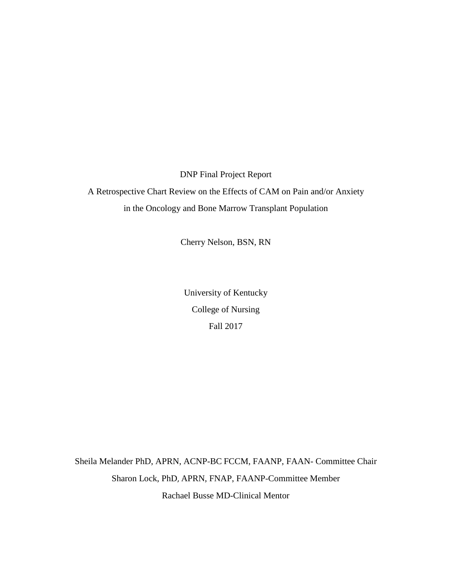DNP Final Project Report

A Retrospective Chart Review on the Effects of CAM on Pain and/or Anxiety in the Oncology and Bone Marrow Transplant Population

Cherry Nelson, BSN, RN

University of Kentucky College of Nursing Fall 2017

Sheila Melander PhD, APRN, ACNP-BC FCCM, FAANP, FAAN- Committee Chair Sharon Lock, PhD, APRN, FNAP, FAANP-Committee Member Rachael Busse MD-Clinical Mentor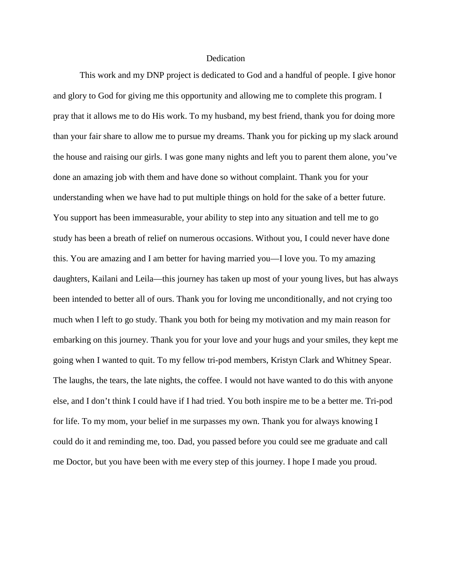#### **Dedication**

This work and my DNP project is dedicated to God and a handful of people. I give honor and glory to God for giving me this opportunity and allowing me to complete this program. I pray that it allows me to do His work. To my husband, my best friend, thank you for doing more than your fair share to allow me to pursue my dreams. Thank you for picking up my slack around the house and raising our girls. I was gone many nights and left you to parent them alone, you've done an amazing job with them and have done so without complaint. Thank you for your understanding when we have had to put multiple things on hold for the sake of a better future. You support has been immeasurable, your ability to step into any situation and tell me to go study has been a breath of relief on numerous occasions. Without you, I could never have done this. You are amazing and I am better for having married you—I love you. To my amazing daughters, Kailani and Leila—this journey has taken up most of your young lives, but has always been intended to better all of ours. Thank you for loving me unconditionally, and not crying too much when I left to go study. Thank you both for being my motivation and my main reason for embarking on this journey. Thank you for your love and your hugs and your smiles, they kept me going when I wanted to quit. To my fellow tri-pod members, Kristyn Clark and Whitney Spear. The laughs, the tears, the late nights, the coffee. I would not have wanted to do this with anyone else, and I don't think I could have if I had tried. You both inspire me to be a better me. Tri-pod for life. To my mom, your belief in me surpasses my own. Thank you for always knowing I could do it and reminding me, too. Dad, you passed before you could see me graduate and call me Doctor, but you have been with me every step of this journey. I hope I made you proud.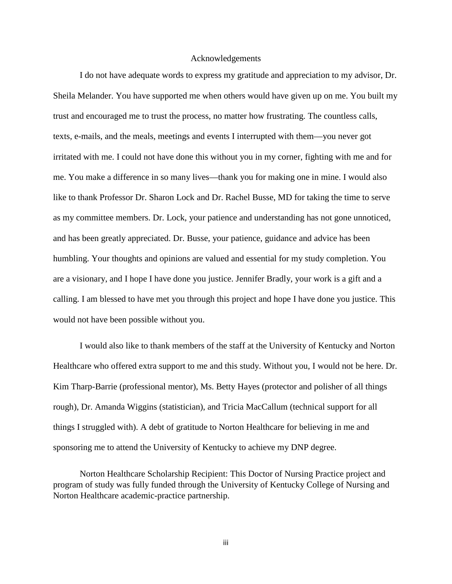#### Acknowledgements

I do not have adequate words to express my gratitude and appreciation to my advisor, Dr. Sheila Melander. You have supported me when others would have given up on me. You built my trust and encouraged me to trust the process, no matter how frustrating. The countless calls, texts, e-mails, and the meals, meetings and events I interrupted with them—you never got irritated with me. I could not have done this without you in my corner, fighting with me and for me. You make a difference in so many lives—thank you for making one in mine. I would also like to thank Professor Dr. Sharon Lock and Dr. Rachel Busse, MD for taking the time to serve as my committee members. Dr. Lock, your patience and understanding has not gone unnoticed, and has been greatly appreciated. Dr. Busse, your patience, guidance and advice has been humbling. Your thoughts and opinions are valued and essential for my study completion. You are a visionary, and I hope I have done you justice. Jennifer Bradly, your work is a gift and a calling. I am blessed to have met you through this project and hope I have done you justice. This would not have been possible without you.

I would also like to thank members of the staff at the University of Kentucky and Norton Healthcare who offered extra support to me and this study. Without you, I would not be here. Dr. Kim Tharp-Barrie (professional mentor), Ms. Betty Hayes (protector and polisher of all things rough), Dr. Amanda Wiggins (statistician), and Tricia MacCallum (technical support for all things I struggled with). A debt of gratitude to Norton Healthcare for believing in me and sponsoring me to attend the University of Kentucky to achieve my DNP degree.

Norton Healthcare Scholarship Recipient: This Doctor of Nursing Practice project and program of study was fully funded through the University of Kentucky College of Nursing and Norton Healthcare academic-practice partnership.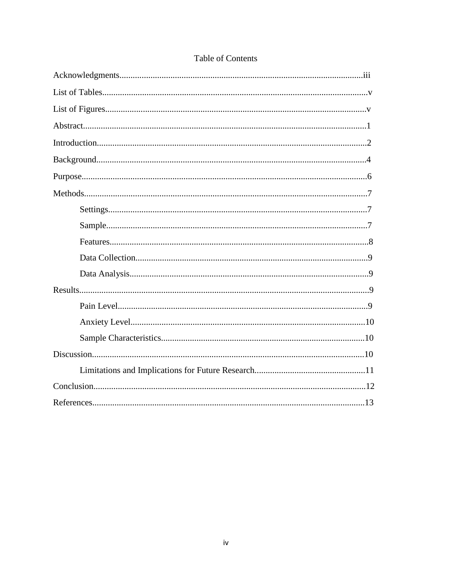## Table of Contents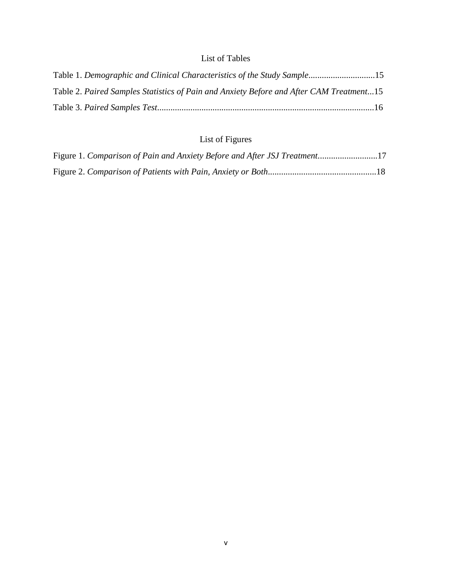### List of Tables

| Table 1. Demographic and Clinical Characteristics of the Study Sample15                 |  |
|-----------------------------------------------------------------------------------------|--|
| Table 2. Paired Samples Statistics of Pain and Anxiety Before and After CAM Treatment15 |  |
|                                                                                         |  |

# List of Figures

| Figure 1. Comparison of Pain and Anxiety Before and After JSJ Treatment17 |  |
|---------------------------------------------------------------------------|--|
|                                                                           |  |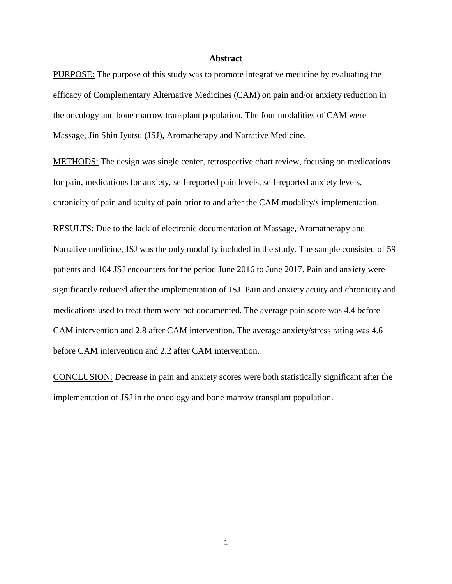#### **Abstract**

PURPOSE: The purpose of this study was to promote integrative medicine by evaluating the efficacy of Complementary Alternative Medicines (CAM) on pain and/or anxiety reduction in the oncology and bone marrow transplant population. The four modalities of CAM were Massage, Jin Shin Jyutsu (JSJ), Aromatherapy and Narrative Medicine.

METHODS: The design was single center, retrospective chart review, focusing on medications for pain, medications for anxiety, self-reported pain levels, self-reported anxiety levels, chronicity of pain and acuity of pain prior to and after the CAM modality/s implementation.

RESULTS: Due to the lack of electronic documentation of Massage, Aromatherapy and Narrative medicine, JSJ was the only modality included in the study. The sample consisted of 59 patients and 104 JSJ encounters for the period June 2016 to June 2017. Pain and anxiety were significantly reduced after the implementation of JSJ. Pain and anxiety acuity and chronicity and medications used to treat them were not documented. The average pain score was 4.4 before CAM intervention and 2.8 after CAM intervention. The average anxiety/stress rating was 4.6 before CAM intervention and 2.2 after CAM intervention.

CONCLUSION: Decrease in pain and anxiety scores were both statistically significant after the implementation of JSJ in the oncology and bone marrow transplant population.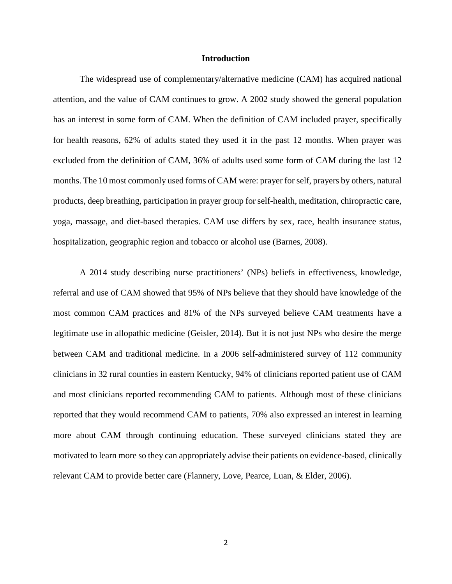#### **Introduction**

The widespread use of complementary/alternative medicine (CAM) has acquired national attention, and the value of CAM continues to grow. A 2002 study showed the general population has an interest in some form of CAM. When the definition of CAM included prayer, specifically for health reasons, 62% of adults stated they used it in the past 12 months. When prayer was excluded from the definition of CAM, 36% of adults used some form of CAM during the last 12 months. The 10 most commonly used forms of CAM were: prayer for self, prayers by others, natural products, deep breathing, participation in prayer group for self-health, meditation, chiropractic care, yoga, massage, and diet-based therapies. CAM use differs by sex, race, health insurance status, hospitalization, geographic region and tobacco or alcohol use (Barnes, 2008).

A 2014 study describing nurse practitioners' (NPs) beliefs in effectiveness, knowledge, referral and use of CAM showed that 95% of NPs believe that they should have knowledge of the most common CAM practices and 81% of the NPs surveyed believe CAM treatments have a legitimate use in allopathic medicine (Geisler, 2014). But it is not just NPs who desire the merge between CAM and traditional medicine. In a 2006 self-administered survey of 112 community clinicians in 32 rural counties in eastern Kentucky, 94% of clinicians reported patient use of CAM and most clinicians reported recommending CAM to patients. Although most of these clinicians reported that they would recommend CAM to patients, 70% also expressed an interest in learning more about CAM through continuing education. These surveyed clinicians stated they are motivated to learn more so they can appropriately advise their patients on evidence-based, clinically relevant CAM to provide better care (Flannery, Love, Pearce, Luan, & Elder, 2006).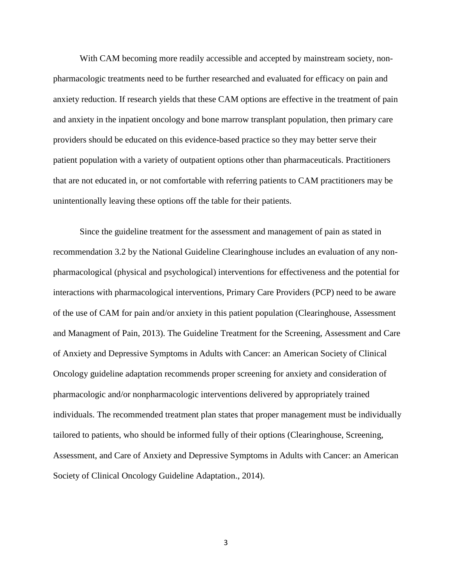With CAM becoming more readily accessible and accepted by mainstream society, nonpharmacologic treatments need to be further researched and evaluated for efficacy on pain and anxiety reduction. If research yields that these CAM options are effective in the treatment of pain and anxiety in the inpatient oncology and bone marrow transplant population, then primary care providers should be educated on this evidence-based practice so they may better serve their patient population with a variety of outpatient options other than pharmaceuticals. Practitioners that are not educated in, or not comfortable with referring patients to CAM practitioners may be unintentionally leaving these options off the table for their patients.

Since the guideline treatment for the assessment and management of pain as stated in recommendation 3.2 by the National Guideline Clearinghouse includes an evaluation of any nonpharmacological (physical and psychological) interventions for effectiveness and the potential for interactions with pharmacological interventions, Primary Care Providers (PCP) need to be aware of the use of CAM for pain and/or anxiety in this patient population (Clearinghouse, Assessment and Managment of Pain, 2013). The Guideline Treatment for the Screening, Assessment and Care of Anxiety and Depressive Symptoms in Adults with Cancer: an American Society of Clinical Oncology guideline adaptation recommends proper screening for anxiety and consideration of pharmacologic and/or nonpharmacologic interventions delivered by appropriately trained individuals. The recommended treatment plan states that proper management must be individually tailored to patients, who should be informed fully of their options (Clearinghouse, Screening, Assessment, and Care of Anxiety and Depressive Symptoms in Adults with Cancer: an American Society of Clinical Oncology Guideline Adaptation., 2014).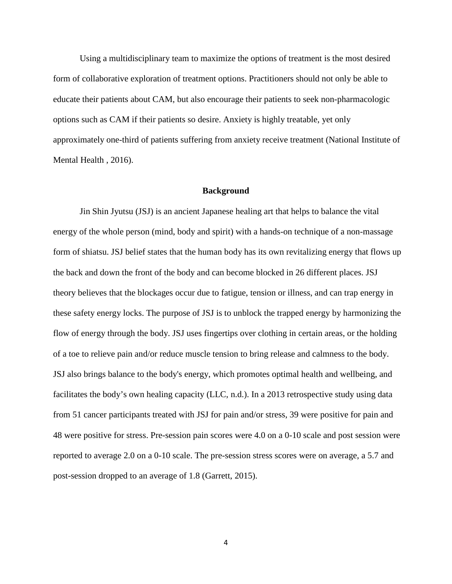Using a multidisciplinary team to maximize the options of treatment is the most desired form of collaborative exploration of treatment options. Practitioners should not only be able to educate their patients about CAM, but also encourage their patients to seek non-pharmacologic options such as CAM if their patients so desire. Anxiety is highly treatable, yet only approximately one-third of patients suffering from anxiety receive treatment (National Institute of Mental Health , 2016).

#### **Background**

Jin Shin Jyutsu (JSJ) is an ancient Japanese healing art that helps to balance the vital energy of the whole person (mind, body and spirit) with a hands-on technique of a non-massage form of shiatsu. JSJ belief states that the human body has its own revitalizing energy that flows up the back and down the front of the body and can become blocked in 26 different places. JSJ theory believes that the blockages occur due to fatigue, tension or illness, and can trap energy in these safety energy locks. The purpose of JSJ is to unblock the trapped energy by harmonizing the flow of energy through the body. JSJ uses fingertips over clothing in certain areas, or the holding of a toe to relieve pain and/or reduce muscle tension to bring release and calmness to the body. JSJ also brings balance to the body's energy, which promotes optimal health and wellbeing, and facilitates the body's own healing capacity (LLC, n.d.). In a 2013 retrospective study using data from 51 cancer participants treated with JSJ for pain and/or stress, 39 were positive for pain and 48 were positive for stress. Pre-session pain scores were 4.0 on a 0-10 scale and post session were reported to average 2.0 on a 0-10 scale. The pre-session stress scores were on average, a 5.7 and post-session dropped to an average of 1.8 (Garrett, 2015).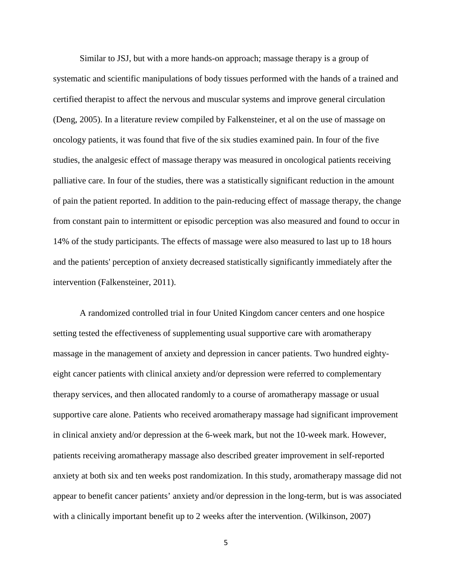Similar to JSJ, but with a more hands-on approach; massage therapy is a group of systematic and scientific manipulations of body tissues performed with the hands of a trained and certified therapist to affect the nervous and muscular systems and improve general circulation (Deng, 2005). In a literature review compiled by Falkensteiner, et al on the use of massage on oncology patients, it was found that five of the six studies examined pain. In four of the five studies, the analgesic effect of massage therapy was measured in oncological patients receiving palliative care. In four of the studies, there was a statistically significant reduction in the amount of pain the patient reported. In addition to the pain-reducing effect of massage therapy, the change from constant pain to intermittent or episodic perception was also measured and found to occur in 14% of the study participants. The effects of massage were also measured to last up to 18 hours and the patients' perception of anxiety decreased statistically significantly immediately after the intervention (Falkensteiner, 2011).

A randomized controlled trial in four United Kingdom cancer centers and one hospice setting tested the effectiveness of supplementing usual supportive care with aromatherapy massage in the management of anxiety and depression in cancer patients. Two hundred eightyeight cancer patients with clinical anxiety and/or depression were referred to complementary therapy services, and then allocated randomly to a course of aromatherapy massage or usual supportive care alone. Patients who received aromatherapy massage had significant improvement in clinical anxiety and/or depression at the 6-week mark, but not the 10-week mark. However, patients receiving aromatherapy massage also described greater improvement in self-reported anxiety at both six and ten weeks post randomization. In this study, aromatherapy massage did not appear to benefit cancer patients' anxiety and/or depression in the long-term, but is was associated with a clinically important benefit up to 2 weeks after the intervention. (Wilkinson, 2007)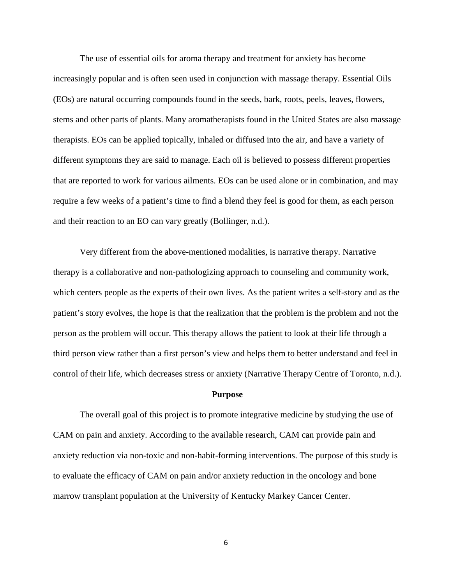The use of essential oils for aroma therapy and treatment for anxiety has become increasingly popular and is often seen used in conjunction with massage therapy. Essential Oils (EOs) are natural occurring compounds found in the seeds, bark, roots, peels, leaves, flowers, stems and other parts of plants. Many aromatherapists found in the United States are also massage therapists. EOs can be applied topically, inhaled or diffused into the air, and have a variety of different symptoms they are said to manage. Each oil is believed to possess different properties that are reported to work for various ailments. EOs can be used alone or in combination, and may require a few weeks of a patient's time to find a blend they feel is good for them, as each person and their reaction to an EO can vary greatly (Bollinger, n.d.).

Very different from the above-mentioned modalities, is narrative therapy. Narrative therapy is a collaborative and non-pathologizing approach to counseling and community work, which centers people as the experts of their own lives. As the patient writes a self-story and as the patient's story evolves, the hope is that the realization that the problem is the problem and not the person as the problem will occur. This therapy allows the patient to look at their life through a third person view rather than a first person's view and helps them to better understand and feel in control of their life, which decreases stress or anxiety (Narrative Therapy Centre of Toronto, n.d.).

#### **Purpose**

The overall goal of this project is to promote integrative medicine by studying the use of CAM on pain and anxiety. According to the available research, CAM can provide pain and anxiety reduction via non-toxic and non-habit-forming interventions. The purpose of this study is to evaluate the efficacy of CAM on pain and/or anxiety reduction in the oncology and bone marrow transplant population at the University of Kentucky Markey Cancer Center.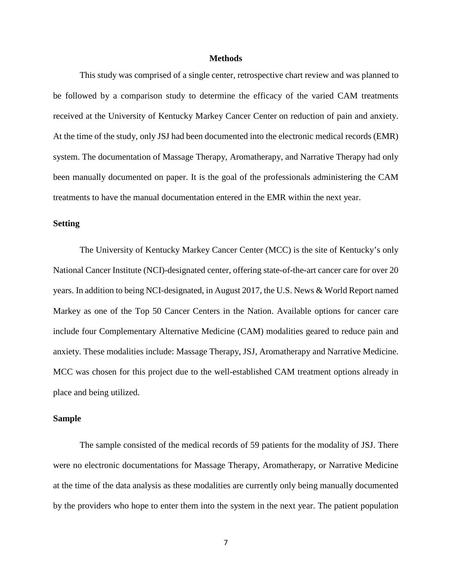#### **Methods**

This study was comprised of a single center, retrospective chart review and was planned to be followed by a comparison study to determine the efficacy of the varied CAM treatments received at the University of Kentucky Markey Cancer Center on reduction of pain and anxiety. At the time of the study, only JSJ had been documented into the electronic medical records (EMR) system. The documentation of Massage Therapy, Aromatherapy, and Narrative Therapy had only been manually documented on paper. It is the goal of the professionals administering the CAM treatments to have the manual documentation entered in the EMR within the next year.

#### **Setting**

The University of Kentucky Markey Cancer Center (MCC) is the site of Kentucky's only National Cancer Institute (NCI)-designated center, offering state-of-the-art cancer care for over 20 years. In addition to being NCI-designated, in August 2017, the U.S. News & World Report named Markey as one of the Top 50 Cancer Centers in the Nation. Available options for cancer care include four Complementary Alternative Medicine (CAM) modalities geared to reduce pain and anxiety. These modalities include: Massage Therapy, JSJ, Aromatherapy and Narrative Medicine. MCC was chosen for this project due to the well-established CAM treatment options already in place and being utilized.

#### **Sample**

The sample consisted of the medical records of 59 patients for the modality of JSJ. There were no electronic documentations for Massage Therapy, Aromatherapy, or Narrative Medicine at the time of the data analysis as these modalities are currently only being manually documented by the providers who hope to enter them into the system in the next year. The patient population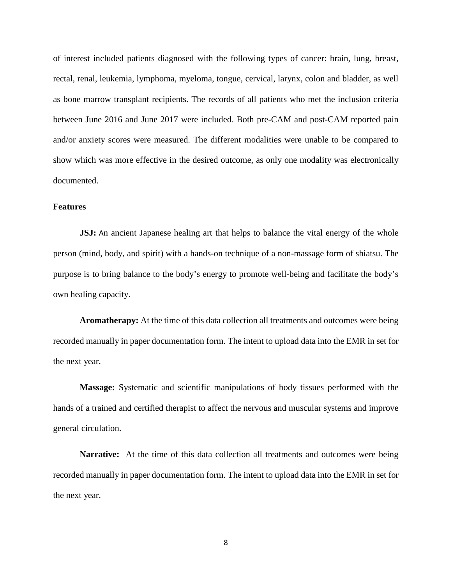of interest included patients diagnosed with the following types of cancer: brain, lung, breast, rectal, renal, leukemia, lymphoma, myeloma, tongue, cervical, larynx, colon and bladder, as well as bone marrow transplant recipients. The records of all patients who met the inclusion criteria between June 2016 and June 2017 were included. Both pre-CAM and post-CAM reported pain and/or anxiety scores were measured. The different modalities were unable to be compared to show which was more effective in the desired outcome, as only one modality was electronically documented.

#### **Features**

**JSJ:** An ancient Japanese healing art that helps to balance the vital energy of the whole person (mind, body, and spirit) with a hands-on technique of a non-massage form of shiatsu. The purpose is to bring balance to the body's energy to promote well-being and facilitate the body's own healing capacity.

**Aromatherapy:** At the time of this data collection all treatments and outcomes were being recorded manually in paper documentation form. The intent to upload data into the EMR in set for the next year.

**Massage:** Systematic and scientific manipulations of body tissues performed with the hands of a trained and certified therapist to affect the nervous and muscular systems and improve general circulation.

**Narrative:** At the time of this data collection all treatments and outcomes were being recorded manually in paper documentation form. The intent to upload data into the EMR in set for the next year.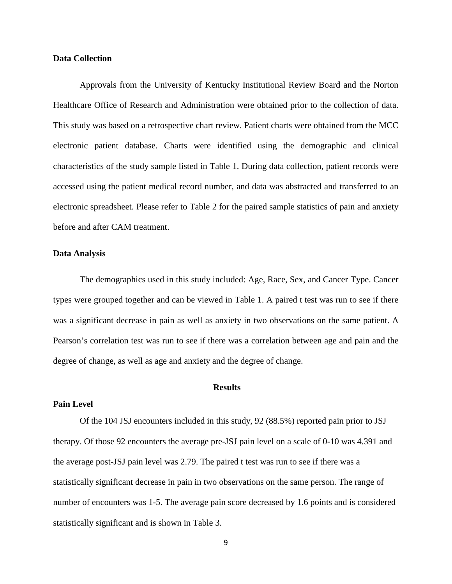#### **Data Collection**

Approvals from the University of Kentucky Institutional Review Board and the Norton Healthcare Office of Research and Administration were obtained prior to the collection of data. This study was based on a retrospective chart review. Patient charts were obtained from the MCC electronic patient database. Charts were identified using the demographic and clinical characteristics of the study sample listed in Table 1. During data collection, patient records were accessed using the patient medical record number, and data was abstracted and transferred to an electronic spreadsheet. Please refer to Table 2 for the paired sample statistics of pain and anxiety before and after CAM treatment.

#### **Data Analysis**

The demographics used in this study included: Age, Race, Sex, and Cancer Type. Cancer types were grouped together and can be viewed in Table 1. A paired t test was run to see if there was a significant decrease in pain as well as anxiety in two observations on the same patient. A Pearson's correlation test was run to see if there was a correlation between age and pain and the degree of change, as well as age and anxiety and the degree of change.

#### **Results**

#### **Pain Level**

Of the 104 JSJ encounters included in this study, 92 (88.5%) reported pain prior to JSJ therapy. Of those 92 encounters the average pre-JSJ pain level on a scale of 0-10 was 4.391 and the average post-JSJ pain level was 2.79. The paired t test was run to see if there was a statistically significant decrease in pain in two observations on the same person. The range of number of encounters was 1-5. The average pain score decreased by 1.6 points and is considered statistically significant and is shown in Table 3.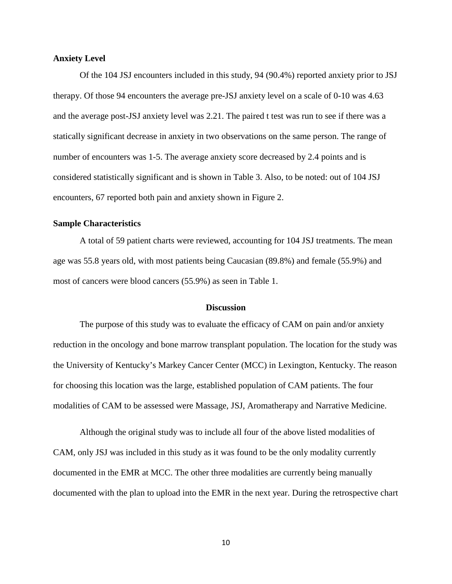#### **Anxiety Level**

Of the 104 JSJ encounters included in this study, 94 (90.4%) reported anxiety prior to JSJ therapy. Of those 94 encounters the average pre-JSJ anxiety level on a scale of 0-10 was 4.63 and the average post-JSJ anxiety level was 2.21. The paired t test was run to see if there was a statically significant decrease in anxiety in two observations on the same person. The range of number of encounters was 1-5. The average anxiety score decreased by 2.4 points and is considered statistically significant and is shown in Table 3. Also, to be noted: out of 104 JSJ encounters, 67 reported both pain and anxiety shown in Figure 2.

#### **Sample Characteristics**

A total of 59 patient charts were reviewed, accounting for 104 JSJ treatments. The mean age was 55.8 years old, with most patients being Caucasian (89.8%) and female (55.9%) and most of cancers were blood cancers (55.9%) as seen in Table 1.

#### **Discussion**

The purpose of this study was to evaluate the efficacy of CAM on pain and/or anxiety reduction in the oncology and bone marrow transplant population. The location for the study was the University of Kentucky's Markey Cancer Center (MCC) in Lexington, Kentucky. The reason for choosing this location was the large, established population of CAM patients. The four modalities of CAM to be assessed were Massage, JSJ, Aromatherapy and Narrative Medicine.

Although the original study was to include all four of the above listed modalities of CAM, only JSJ was included in this study as it was found to be the only modality currently documented in the EMR at MCC. The other three modalities are currently being manually documented with the plan to upload into the EMR in the next year. During the retrospective chart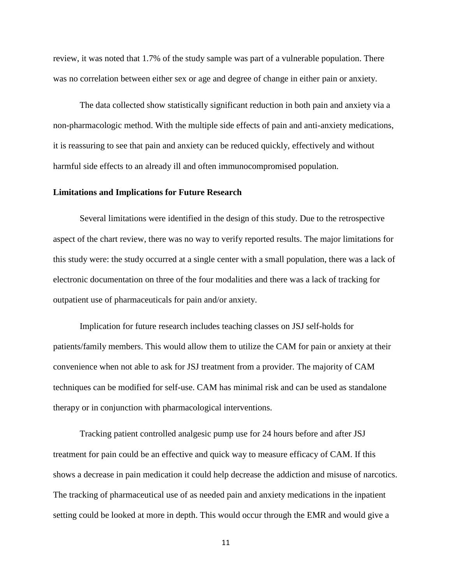review, it was noted that 1.7% of the study sample was part of a vulnerable population. There was no correlation between either sex or age and degree of change in either pain or anxiety.

The data collected show statistically significant reduction in both pain and anxiety via a non-pharmacologic method. With the multiple side effects of pain and anti-anxiety medications, it is reassuring to see that pain and anxiety can be reduced quickly, effectively and without harmful side effects to an already ill and often immunocompromised population.

#### **Limitations and Implications for Future Research**

Several limitations were identified in the design of this study. Due to the retrospective aspect of the chart review, there was no way to verify reported results. The major limitations for this study were: the study occurred at a single center with a small population, there was a lack of electronic documentation on three of the four modalities and there was a lack of tracking for outpatient use of pharmaceuticals for pain and/or anxiety.

Implication for future research includes teaching classes on JSJ self-holds for patients/family members. This would allow them to utilize the CAM for pain or anxiety at their convenience when not able to ask for JSJ treatment from a provider. The majority of CAM techniques can be modified for self-use. CAM has minimal risk and can be used as standalone therapy or in conjunction with pharmacological interventions.

Tracking patient controlled analgesic pump use for 24 hours before and after JSJ treatment for pain could be an effective and quick way to measure efficacy of CAM. If this shows a decrease in pain medication it could help decrease the addiction and misuse of narcotics. The tracking of pharmaceutical use of as needed pain and anxiety medications in the inpatient setting could be looked at more in depth. This would occur through the EMR and would give a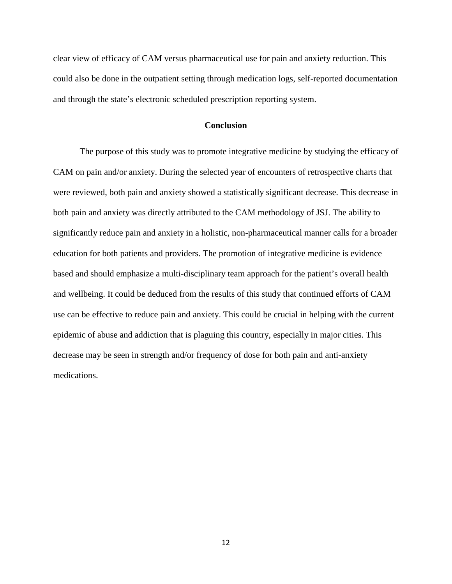clear view of efficacy of CAM versus pharmaceutical use for pain and anxiety reduction. This could also be done in the outpatient setting through medication logs, self-reported documentation and through the state's electronic scheduled prescription reporting system.

#### **Conclusion**

The purpose of this study was to promote integrative medicine by studying the efficacy of CAM on pain and/or anxiety. During the selected year of encounters of retrospective charts that were reviewed, both pain and anxiety showed a statistically significant decrease. This decrease in both pain and anxiety was directly attributed to the CAM methodology of JSJ. The ability to significantly reduce pain and anxiety in a holistic, non-pharmaceutical manner calls for a broader education for both patients and providers. The promotion of integrative medicine is evidence based and should emphasize a multi-disciplinary team approach for the patient's overall health and wellbeing. It could be deduced from the results of this study that continued efforts of CAM use can be effective to reduce pain and anxiety. This could be crucial in helping with the current epidemic of abuse and addiction that is plaguing this country, especially in major cities. This decrease may be seen in strength and/or frequency of dose for both pain and anti-anxiety medications.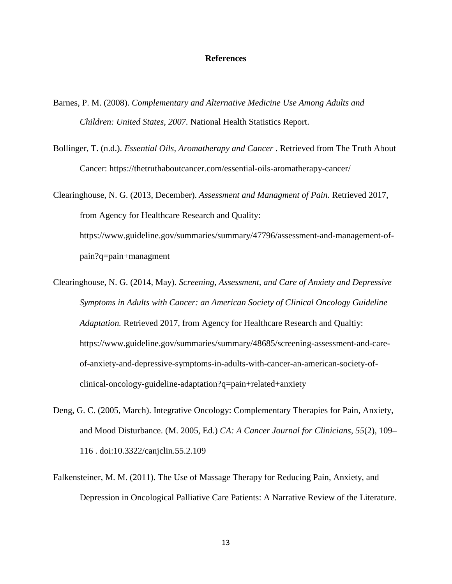#### **References**

- Barnes, P. M. (2008). *Complementary and Alternative Medicine Use Among Adults and Children: United States, 2007.* National Health Statistics Report.
- Bollinger, T. (n.d.). *Essential Oils, Aromatherapy and Cancer* . Retrieved from The Truth About Cancer: https://thetruthaboutcancer.com/essential-oils-aromatherapy-cancer/

Clearinghouse, N. G. (2013, December). *Assessment and Managment of Pain*. Retrieved 2017, from Agency for Healthcare Research and Quality: https://www.guideline.gov/summaries/summary/47796/assessment-and-management-ofpain?q=pain+managment

- Clearinghouse, N. G. (2014, May). *Screening, Assessment, and Care of Anxiety and Depressive Symptoms in Adults with Cancer: an American Society of Clinical Oncology Guideline Adaptation.* Retrieved 2017, from Agency for Healthcare Research and Qualtiy: https://www.guideline.gov/summaries/summary/48685/screening-assessment-and-careof-anxiety-and-depressive-symptoms-in-adults-with-cancer-an-american-society-ofclinical-oncology-guideline-adaptation?q=pain+related+anxiety
- Deng, G. C. (2005, March). Integrative Oncology: Complementary Therapies for Pain, Anxiety, and Mood Disturbance. (M. 2005, Ed.) *CA: A Cancer Journal for Clinicians, 55*(2), 109– 116 . doi:10.3322/canjclin.55.2.109
- Falkensteiner, M. M. (2011). The Use of Massage Therapy for Reducing Pain, Anxiety, and Depression in Oncological Palliative Care Patients: A Narrative Review of the Literature.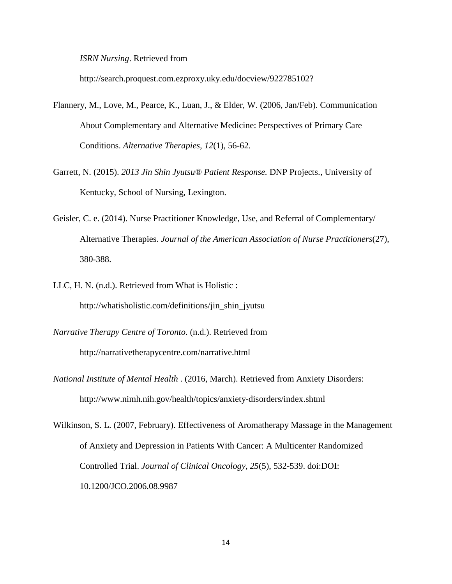*ISRN Nursing*. Retrieved from

http://search.proquest.com.ezproxy.uky.edu/docview/922785102?

- Flannery, M., Love, M., Pearce, K., Luan, J., & Elder, W. (2006, Jan/Feb). Communication About Complementary and Alternative Medicine: Perspectives of Primary Care Conditions. *Alternative Therapies, 12*(1), 56-62.
- Garrett, N. (2015). *2013 Jin Shin Jyutsu® Patient Response.* DNP Projects., University of Kentucky, School of Nursing, Lexington.
- Geisler, C. e. (2014). Nurse Practitioner Knowledge, Use, and Referral of Complementary/ Alternative Therapies. *Journal of the American Association of Nurse Practitioners*(27), 380-388.
- LLC, H. N. (n.d.). Retrieved from What is Holistic : http://whatisholistic.com/definitions/jin\_shin\_jyutsu
- *Narrative Therapy Centre of Toronto*. (n.d.). Retrieved from http://narrativetherapycentre.com/narrative.html
- *National Institute of Mental Health* . (2016, March). Retrieved from Anxiety Disorders: http://www.nimh.nih.gov/health/topics/anxiety-disorders/index.shtml
- Wilkinson, S. L. (2007, February). Effectiveness of Aromatherapy Massage in the Management of Anxiety and Depression in Patients With Cancer: A Multicenter Randomized Controlled Trial. *Journal of Clinical Oncology, 25*(5), 532-539. doi:DOI: 10.1200/JCO.2006.08.9987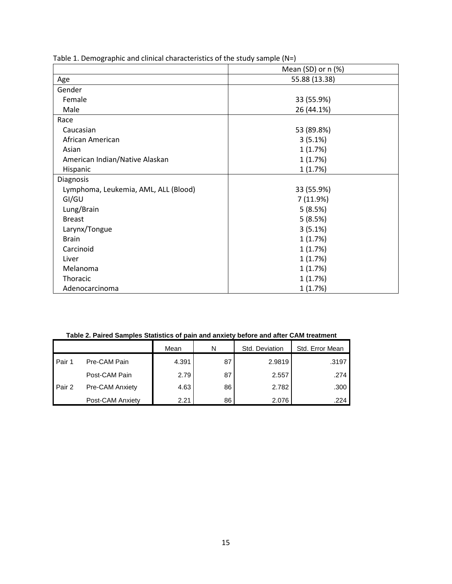|                                      | Mean $(SD)$ or $n$ $(\%)$ |  |  |  |
|--------------------------------------|---------------------------|--|--|--|
| Age                                  | 55.88 (13.38)             |  |  |  |
| Gender                               |                           |  |  |  |
| Female                               | 33 (55.9%)                |  |  |  |
| Male                                 | 26 (44.1%)                |  |  |  |
| Race                                 |                           |  |  |  |
| Caucasian                            | 53 (89.8%)                |  |  |  |
| African American                     | 3(5.1%)                   |  |  |  |
| Asian                                | 1(1.7%)                   |  |  |  |
| American Indian/Native Alaskan       | 1(1.7%)                   |  |  |  |
| Hispanic                             | 1(1.7%)                   |  |  |  |
| Diagnosis                            |                           |  |  |  |
| Lymphoma, Leukemia, AML, ALL (Blood) | 33 (55.9%)                |  |  |  |
| GI/GU                                | 7 (11.9%)                 |  |  |  |
| Lung/Brain                           | 5(8.5%)                   |  |  |  |
| <b>Breast</b>                        | 5(8.5%)                   |  |  |  |
| Larynx/Tongue                        | 3(5.1%)                   |  |  |  |
| <b>Brain</b>                         | 1(1.7%)                   |  |  |  |
| Carcinoid                            | 1(1.7%)                   |  |  |  |
| Liver                                | 1(1.7%)                   |  |  |  |
| Melanoma                             | 1(1.7%)                   |  |  |  |
| Thoracic                             | 1(1.7%)                   |  |  |  |
| Adenocarcinoma                       | 1(1.7%)                   |  |  |  |

Table 1. Demographic and clinical characteristics of the study sample (N=)

| Table 2. Paired Samples Statistics of pain and anxiety before and after CAM treatment |  |  |  |  |
|---------------------------------------------------------------------------------------|--|--|--|--|
|---------------------------------------------------------------------------------------|--|--|--|--|

|          |                  | Mean  | N  | Std. Deviation | Std. Error Mean |  |
|----------|------------------|-------|----|----------------|-----------------|--|
| l Pair 1 | Pre-CAM Pain     | 4.391 | 87 | 2.9819         | .3197           |  |
|          | Post-CAM Pain    | 2.79  | 87 | 2.557          | .274            |  |
| Pair 2   | Pre-CAM Anxiety  | 4.63  | 86 | 2.782          | .300            |  |
|          | Post-CAM Anxiety | 2.21  | 86 | 2.076          | .224            |  |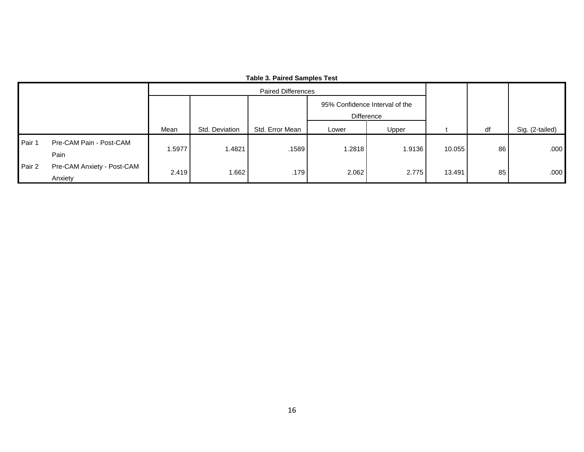|        | .<br><b>Paired Differences</b>        |       |                |                 |                                              |        |        |    |                 |
|--------|---------------------------------------|-------|----------------|-----------------|----------------------------------------------|--------|--------|----|-----------------|
|        |                                       |       |                |                 | 95% Confidence Interval of the<br>Difference |        |        |    |                 |
|        |                                       | Mean  | Std. Deviation | Std. Error Mean | Lower                                        | Upper  |        | df | Sig. (2-tailed) |
| Pair 1 | Pre-CAM Pain - Post-CAM               | .5977 | 1.4821         | 1589            | 1.2818                                       | 1.9136 | 10.055 | 86 | .000            |
|        | Pain                                  |       |                |                 |                                              |        |        |    |                 |
| Pair 2 | Pre-CAM Anxiety - Post-CAM<br>Anxiety | 2.419 | 1.662          | .179            | 2.062                                        | 2.775  | 13.491 | 85 | .000            |

#### **Table 3. Paired Samples Test**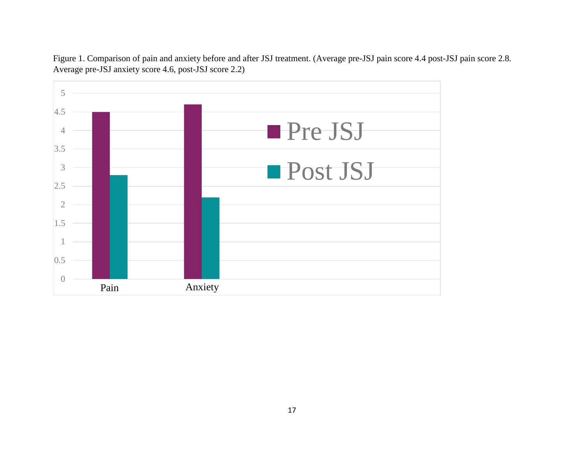

Figure 1. Comparison of pain and anxiety before and after JSJ treatment. (Average pre-JSJ pain score 4.4 post-JSJ pain score 2.8. Average pre-JSJ anxiety score 4.6, post-JSJ score 2.2)